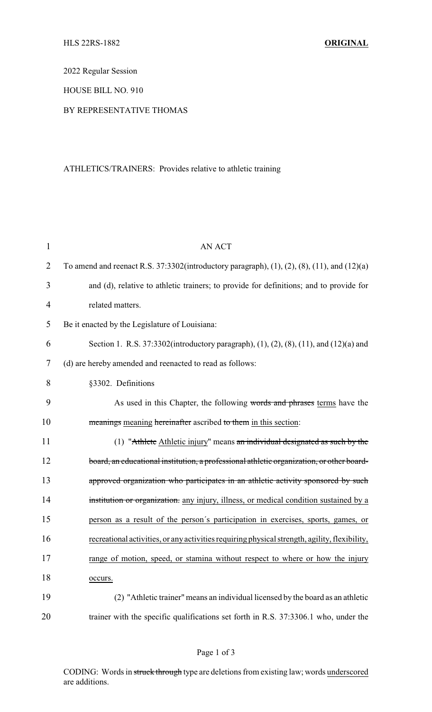2022 Regular Session

HOUSE BILL NO. 910

## BY REPRESENTATIVE THOMAS

## ATHLETICS/TRAINERS: Provides relative to athletic training

| $\mathbf{1}$ | <b>AN ACT</b>                                                                                             |
|--------------|-----------------------------------------------------------------------------------------------------------|
| 2            | To amend and reenact R.S. 37:3302(introductory paragraph), $(1)$ , $(2)$ , $(8)$ , $(11)$ , and $(12)(a)$ |
| 3            | and (d), relative to athletic trainers; to provide for definitions; and to provide for                    |
| 4            | related matters.                                                                                          |
| 5            | Be it enacted by the Legislature of Louisiana:                                                            |
| 6            | Section 1. R.S. 37:3302(introductory paragraph), (1), (2), (8), (11), and (12)(a) and                     |
| 7            | (d) are hereby amended and reenacted to read as follows:                                                  |
| 8            | §3302. Definitions                                                                                        |
| 9            | As used in this Chapter, the following words and phrases terms have the                                   |
| 10           | meanings meaning hereinafter ascribed to them in this section:                                            |
| 11           | (1) "Athlete Athletic injury" means an individual designated as such by the                               |
| 12           | board, an educational institution, a professional athletic organization, or other board-                  |
| 13           | approved organization who participates in an athletic activity sponsored by such                          |
| 14           | institution or organization. any injury, illness, or medical condition sustained by a                     |
| 15           | person as a result of the person's participation in exercises, sports, games, or                          |
| 16           | recreational activities, or any activities requiring physical strength, agility, flexibility,             |
| 17           | range of motion, speed, or stamina without respect to where or how the injury                             |
| 18           | occurs.                                                                                                   |
| 19           | (2) "Athletic trainer" means an individual licensed by the board as an athletic                           |
| 20           | trainer with the specific qualifications set forth in R.S. 37:3306.1 who, under the                       |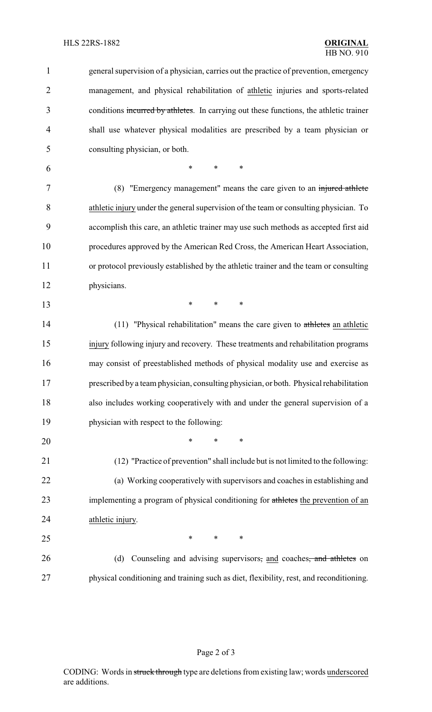| 1              | general supervision of a physician, carries out the practice of prevention, emergency   |
|----------------|-----------------------------------------------------------------------------------------|
| $\overline{2}$ | management, and physical rehabilitation of athletic injuries and sports-related         |
| 3              | conditions incurred by athletes. In carrying out these functions, the athletic trainer  |
| $\overline{4}$ | shall use whatever physical modalities are prescribed by a team physician or            |
| 5              | consulting physician, or both.                                                          |
| 6              | *<br>*<br>∗                                                                             |
| 7              | (8) "Emergency management" means the care given to an injured athlete                   |
| 8              | athletic injury under the general supervision of the team or consulting physician. To   |
| 9              | accomplish this care, an athletic trainer may use such methods as accepted first aid    |
| 10             | procedures approved by the American Red Cross, the American Heart Association,          |
| 11             | or protocol previously established by the athletic trainer and the team or consulting   |
| 12             | physicians.                                                                             |
| 13             | *<br>*<br>$\ast$                                                                        |
| 14             | $(11)$ "Physical rehabilitation" means the care given to athletes an athletic           |
| 15             | injury following injury and recovery. These treatments and rehabilitation programs      |
| 16             | may consist of preestablished methods of physical modality use and exercise as          |
| 17             | prescribed by a team physician, consulting physician, or both. Physical rehabilitation  |
| 18             | also includes working cooperatively with and under the general supervision of a         |
| 19             | physician with respect to the following:                                                |
| 20             | *<br>$\ast$<br>∗                                                                        |
| 21             | (12) "Practice of prevention" shall include but is not limited to the following:        |
| 22             | (a) Working cooperatively with supervisors and coaches in establishing and              |
| 23             | implementing a program of physical conditioning for athletes the prevention of an       |
| 24             | athletic injury.                                                                        |
| 25             | ∗<br>∗<br>∗                                                                             |
| 26             | Counseling and advising supervisors, and coaches, and athletes on<br>(d)                |
| 27             | physical conditioning and training such as diet, flexibility, rest, and reconditioning. |